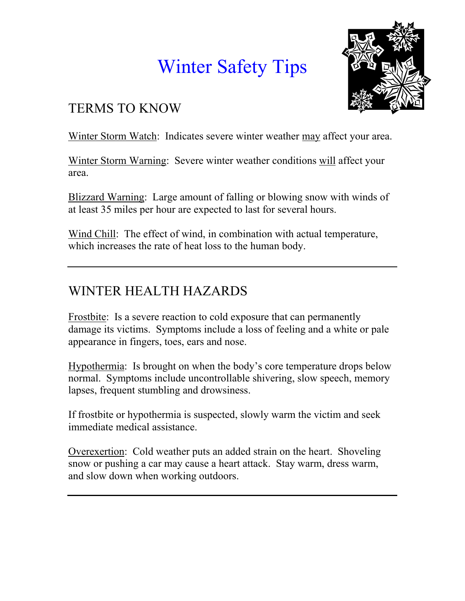# Winter Safety Tips



#### TERMS TO KNOW

Winter Storm Watch: Indicates severe winter weather may affect your area.

Winter Storm Warning: Severe winter weather conditions will affect your area.

Blizzard Warning: Large amount of falling or blowing snow with winds of at least 35 miles per hour are expected to last for several hours.

Wind Chill: The effect of wind, in combination with actual temperature, which increases the rate of heat loss to the human body.

## WINTER HEALTH HAZARDS

Frostbite: Is a severe reaction to cold exposure that can permanently damage its victims. Symptoms include a loss of feeling and a white or pale appearance in fingers, toes, ears and nose.

Hypothermia: Is brought on when the body's core temperature drops below normal. Symptoms include uncontrollable shivering, slow speech, memory lapses, frequent stumbling and drowsiness.

If frostbite or hypothermia is suspected, slowly warm the victim and seek immediate medical assistance.

Overexertion: Cold weather puts an added strain on the heart. Shoveling snow or pushing a car may cause a heart attack. Stay warm, dress warm, and slow down when working outdoors.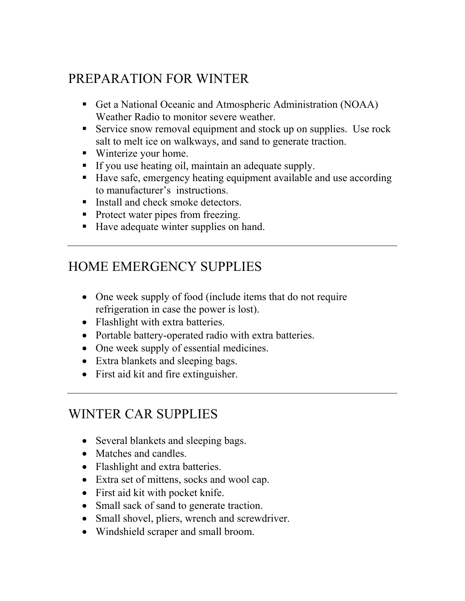### PREPARATION FOR WINTER

- Get a National Oceanic and Atmospheric Administration (NOAA) Weather Radio to monitor severe weather.
- Service snow removal equipment and stock up on supplies. Use rock salt to melt ice on walkways, and sand to generate traction.
- Winterize your home.
- If you use heating oil, maintain an adequate supply.
- Have safe, emergency heating equipment available and use according to manufacturer's instructions.
- Install and check smoke detectors.
- Protect water pipes from freezing.
- Have adequate winter supplies on hand.

### HOME EMERGENCY SUPPLIES

- One week supply of food (include items that do not require refrigeration in case the power is lost).
- Flashlight with extra batteries.
- Portable battery-operated radio with extra batteries.
- One week supply of essential medicines.
- Extra blankets and sleeping bags.
- First aid kit and fire extinguisher.

#### WINTER CAR SUPPLIES

- Several blankets and sleeping bags.
- Matches and candles.
- Flashlight and extra batteries.
- Extra set of mittens, socks and wool cap.
- First aid kit with pocket knife.
- Small sack of sand to generate traction.
- Small shovel, pliers, wrench and screwdriver.
- Windshield scraper and small broom.